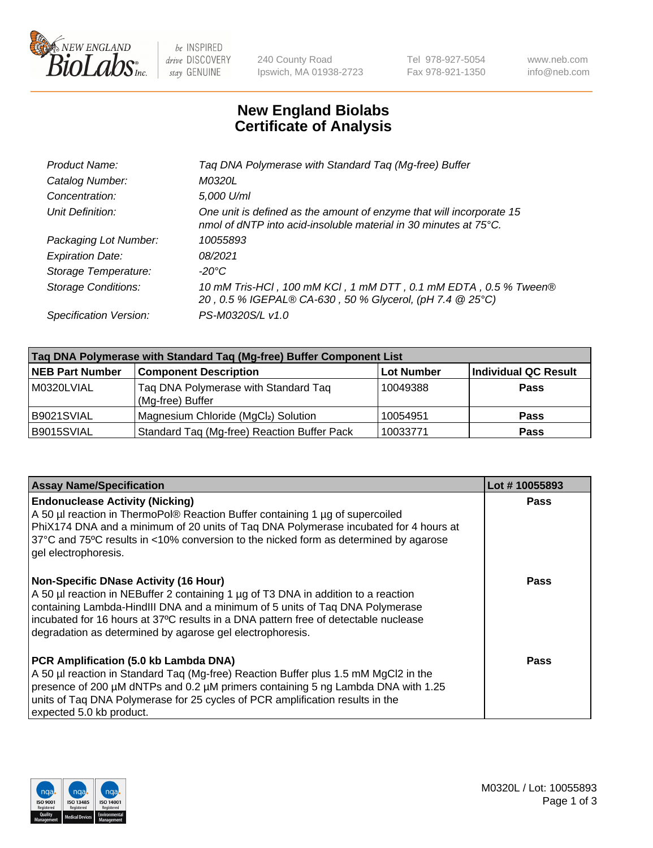

 $be$  INSPIRED drive DISCOVERY stay GENUINE

240 County Road Ipswich, MA 01938-2723 Tel 978-927-5054 Fax 978-921-1350 www.neb.com info@neb.com

## **New England Biolabs Certificate of Analysis**

| Taq DNA Polymerase with Standard Taq (Mg-free) Buffer                                                                                    |
|------------------------------------------------------------------------------------------------------------------------------------------|
| M0320L                                                                                                                                   |
| 5,000 U/ml                                                                                                                               |
| One unit is defined as the amount of enzyme that will incorporate 15<br>nmol of dNTP into acid-insoluble material in 30 minutes at 75°C. |
| 10055893                                                                                                                                 |
| 08/2021                                                                                                                                  |
| $-20^{\circ}$ C                                                                                                                          |
| 10 mM Tris-HCl, 100 mM KCl, 1 mM DTT, 0.1 mM EDTA, 0.5 % Tween®<br>20, 0.5 % IGEPAL® CA-630, 50 % Glycerol, (pH 7.4 @ 25°C)              |
| PS-M0320S/L v1.0                                                                                                                         |
|                                                                                                                                          |

| Taq DNA Polymerase with Standard Taq (Mg-free) Buffer Component List |                                                          |                   |                             |  |  |
|----------------------------------------------------------------------|----------------------------------------------------------|-------------------|-----------------------------|--|--|
| <b>NEB Part Number</b>                                               | <b>Component Description</b>                             | <b>Lot Number</b> | <b>Individual QC Result</b> |  |  |
| M0320LVIAL                                                           | Tag DNA Polymerase with Standard Tag<br>(Mg-free) Buffer | 10049388          | <b>Pass</b>                 |  |  |
| B9021SVIAL                                                           | Magnesium Chloride (MgCl2) Solution                      | 10054951          | <b>Pass</b>                 |  |  |
| B9015SVIAL                                                           | Standard Taq (Mg-free) Reaction Buffer Pack              | 10033771          | <b>Pass</b>                 |  |  |

| <b>Assay Name/Specification</b>                                                                                                                                                                                                                                                                                                                                        | Lot #10055893 |
|------------------------------------------------------------------------------------------------------------------------------------------------------------------------------------------------------------------------------------------------------------------------------------------------------------------------------------------------------------------------|---------------|
| <b>Endonuclease Activity (Nicking)</b><br>A 50 µl reaction in ThermoPol® Reaction Buffer containing 1 µg of supercoiled<br>PhiX174 DNA and a minimum of 20 units of Taq DNA Polymerase incubated for 4 hours at<br>37°C and 75°C results in <10% conversion to the nicked form as determined by agarose<br>gel electrophoresis.                                        | <b>Pass</b>   |
| <b>Non-Specific DNase Activity (16 Hour)</b><br>A 50 µl reaction in NEBuffer 2 containing 1 µg of T3 DNA in addition to a reaction<br>containing Lambda-HindIII DNA and a minimum of 5 units of Taq DNA Polymerase<br>incubated for 16 hours at 37°C results in a DNA pattern free of detectable nuclease<br>degradation as determined by agarose gel electrophoresis. | Pass          |
| PCR Amplification (5.0 kb Lambda DNA)<br>A 50 µl reaction in Standard Taq (Mg-free) Reaction Buffer plus 1.5 mM MgCl2 in the<br>presence of 200 μM dNTPs and 0.2 μM primers containing 5 ng Lambda DNA with 1.25<br>units of Tag DNA Polymerase for 25 cycles of PCR amplification results in the<br>expected 5.0 kb product.                                          | Pass          |

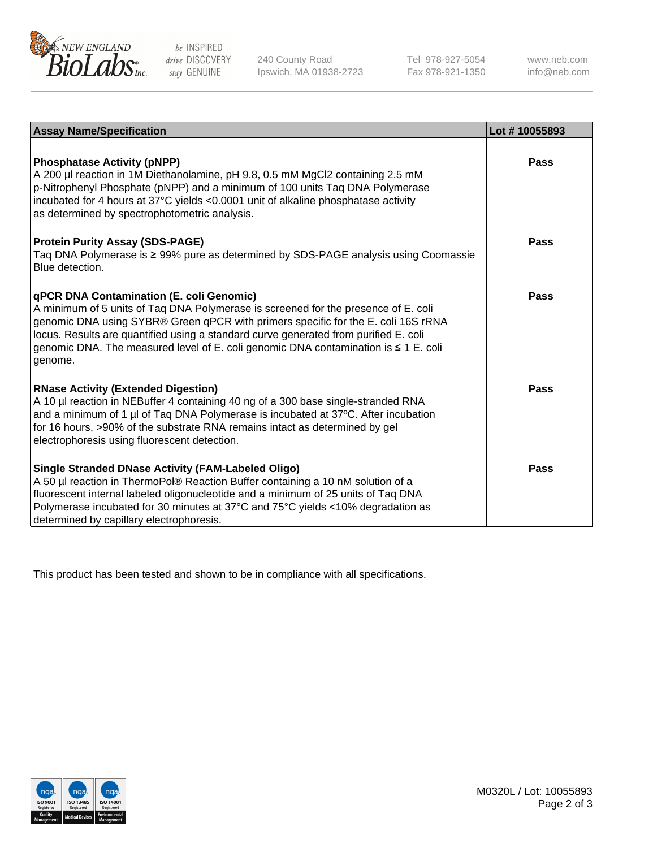

 $be$  INSPIRED drive DISCOVERY stay GENUINE

240 County Road Ipswich, MA 01938-2723 Tel 978-927-5054 Fax 978-921-1350 www.neb.com info@neb.com

| <b>Assay Name/Specification</b>                                                                                                                                                                                                                                                                                                                                                                               | Lot #10055893 |
|---------------------------------------------------------------------------------------------------------------------------------------------------------------------------------------------------------------------------------------------------------------------------------------------------------------------------------------------------------------------------------------------------------------|---------------|
| <b>Phosphatase Activity (pNPP)</b><br>A 200 µl reaction in 1M Diethanolamine, pH 9.8, 0.5 mM MgCl2 containing 2.5 mM<br>p-Nitrophenyl Phosphate (pNPP) and a minimum of 100 units Taq DNA Polymerase<br>incubated for 4 hours at 37°C yields <0.0001 unit of alkaline phosphatase activity<br>as determined by spectrophotometric analysis.                                                                   | Pass          |
| <b>Protein Purity Assay (SDS-PAGE)</b><br>Taq DNA Polymerase is ≥ 99% pure as determined by SDS-PAGE analysis using Coomassie<br>Blue detection.                                                                                                                                                                                                                                                              | Pass          |
| qPCR DNA Contamination (E. coli Genomic)<br>A minimum of 5 units of Taq DNA Polymerase is screened for the presence of E. coli<br>genomic DNA using SYBR® Green qPCR with primers specific for the E. coli 16S rRNA<br>locus. Results are quantified using a standard curve generated from purified E. coli<br>genomic DNA. The measured level of E. coli genomic DNA contamination is ≤ 1 E. coli<br>genome. | Pass          |
| <b>RNase Activity (Extended Digestion)</b><br>A 10 µl reaction in NEBuffer 4 containing 40 ng of a 300 base single-stranded RNA<br>and a minimum of 1 µl of Taq DNA Polymerase is incubated at 37°C. After incubation<br>for 16 hours, >90% of the substrate RNA remains intact as determined by gel<br>electrophoresis using fluorescent detection.                                                          | Pass          |
| <b>Single Stranded DNase Activity (FAM-Labeled Oligo)</b><br>A 50 µl reaction in ThermoPol® Reaction Buffer containing a 10 nM solution of a<br>fluorescent internal labeled oligonucleotide and a minimum of 25 units of Taq DNA<br>Polymerase incubated for 30 minutes at 37°C and 75°C yields <10% degradation as<br>determined by capillary electrophoresis.                                              | Pass          |

This product has been tested and shown to be in compliance with all specifications.